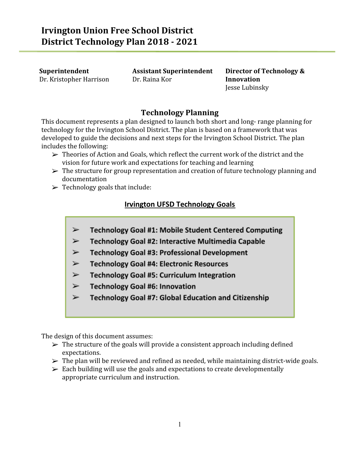**Superintendent** Dr. Kristopher Harrison **Assistant Superintendent** Dr. Raina Kor

**Director of Technology & Innovation** Jesse Lubinsky

# **Technology Planning**

This document represents a plan designed to launch both short and long- range planning for technology for the Irvington School District. The plan is based on a framework that was developed to guide the decisions and next steps for the Irvington School District. The plan includes the following:

- $\triangleright$  Theories of Action and Goals, which reflect the current work of the district and the vision for future work and expectations for teaching and learning
- $\triangleright$  The structure for group representation and creation of future technology planning and documentation
- $\triangleright$  Technology goals that include:

# **Irvington UFSD Technology Goals**

- **Technology Goal #1: Mobile Student Centered Computing** ➤
- $\blacktriangleright$ Technology Goal #2: Interactive Multimedia Capable
- $\blacktriangleright$ **Technology Goal #3: Professional Development**
- $\blacktriangleright$ **Technology Goal #4: Electronic Resources**
- $\blacktriangleright$ **Technology Goal #5: Curriculum Integration**
- $\blacktriangleright$ **Technology Goal #6: Innovation**
- Technology Goal #7: Global Education and Citizenship  $\blacktriangleright$

The design of this document assumes:

- $\triangleright$  The structure of the goals will provide a consistent approach including defined expectations.
- $\triangleright$  The plan will be reviewed and refined as needed, while maintaining district-wide goals.
- $\geq$  Each building will use the goals and expectations to create developmentally appropriate curriculum and instruction.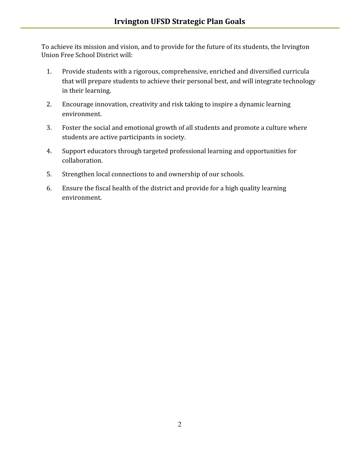To achieve its mission and vision, and to provide for the future of its students, the Irvington Union Free School District will:

- 1. Provide students with a rigorous, comprehensive, enriched and diversified curricula that will prepare students to achieve their personal best, and will integrate technology in their learning.
- 2. Encourage innovation, creativity and risk taking to inspire a dynamic learning environment.
- 3. Foster the social and emotional growth of all students and promote a culture where students are active participants in society.
- 4. Support educators through targeted professional learning and opportunities for collaboration.
- 5. Strengthen local connections to and ownership of our schools.
- 6. Ensure the fiscal health of the district and provide for a high quality learning environment.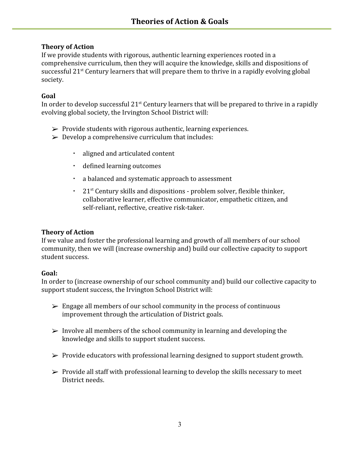# **Theory of Action**

If we provide students with rigorous, authentic learning experiences rooted in a comprehensive curriculum, then they will acquire the knowledge, skills and dispositions of successful 21<sup>st</sup> Century learners that will prepare them to thrive in a rapidly evolving global society.

# **Goal**

In order to develop successful 21<sup>st</sup> Century learners that will be prepared to thrive in a rapidly evolving global society, the Irvington School District will:

- $\triangleright$  Provide students with rigorous authentic, learning experiences.
- $\triangleright$  Develop a comprehensive curriculum that includes:
	- aligned and articulated content
	- defined learning outcomes
	- a balanced and systematic approach to assessment
	- 21<sup>st</sup> Century skills and dispositions problem solver, flexible thinker, collaborative learner, effective communicator, empathetic citizen, and self-reliant, reflective, creative risk-taker.

# **Theory of Action**

If we value and foster the professional learning and growth of all members of our school community, then we will (increase ownership and) build our collective capacity to support student success.

# **Goal:**

In order to (increase ownership of our school community and) build our collective capacity to support student success, the Irvington School District will:

- $\triangleright$  Engage all members of our school community in the process of continuous improvement through the articulation of District goals.
- $\triangleright$  Involve all members of the school community in learning and developing the knowledge and skills to support student success.
- $\triangleright$  Provide educators with professional learning designed to support student growth.
- $\triangleright$  Provide all staff with professional learning to develop the skills necessary to meet District needs.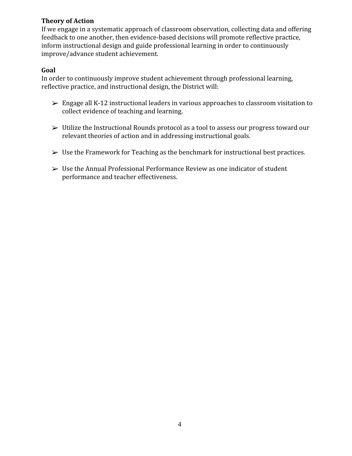### **Theory of Action**

If we engage in a systematic approach of classroom observation, collecting data and offering feedback to one another, then evidence-based decisions will promote reflective practice, inform instructional design and guide professional learning in order to continuously improve/advance student achievement.

### **Goal**

In order to continuously improve student achievement through professional learning, reflective practice, and instructional design, the District will:

- $\triangleright$  Engage all K-12 instructional leaders in various approaches to classroom visitation to collect evidence of teaching and learning.
- ➢ Utilize the Instructional Rounds protocol as a tool to assess our progress toward our relevant theories of action and in addressing instructional goals.
- $\triangleright$  Use the Framework for Teaching as the benchmark for instructional best practices.
- $\triangleright$  Use the Annual Professional Performance Review as one indicator of student performance and teacher effectiveness.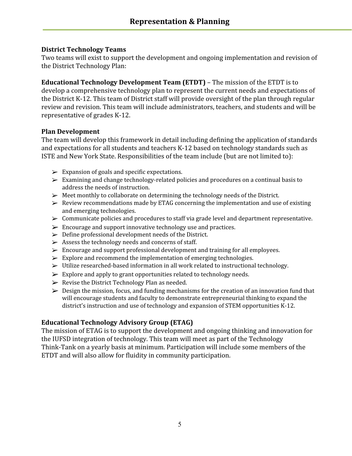### **District Technology Teams**

Two teams will exist to support the development and ongoing implementation and revision of the District Technology Plan:

**Educational Technology Development Team (ETDT)** – The mission of the ETDT is to develop a comprehensive technology plan to represent the current needs and expectations of the District K-12. This team of District staff will provide oversight of the plan through regular review and revision. This team will include administrators, teachers, and students and will be representative of grades K-12.

### **Plan Development**

The team will develop this framework in detail including defining the application of standards and expectations for all students and teachers K-12 based on technology standards such as ISTE and New York State. Responsibilities of the team include (but are not limited to):

- $\triangleright$  Expansion of goals and specific expectations.
- ➢ Examining and change technology-related policies and procedures on a continual basis to address the needs of instruction.
- ➢ Meet monthly to collaborate on determining the technology needs of the District.
- $\triangleright$  Review recommendations made by ETAG concerning the implementation and use of existing and emerging technologies.
- ➢ Communicate policies and procedures to staff via grade level and department representative.
- $\triangleright$  Encourage and support innovative technology use and practices.
- $\triangleright$  Define professional development needs of the District.
- $\triangleright$  Assess the technology needs and concerns of staff.
- ➢ Encourage and support professional development and training for all employees.
- $\triangleright$  Explore and recommend the implementation of emerging technologies.
- ➢ Utilize researched-based information in all work related to instructional technology.
- $\triangleright$  Explore and apply to grant opportunities related to technology needs.
- $\triangleright$  Revise the District Technology Plan as needed.
- $\triangleright$  Design the mission, focus, and funding mechanisms for the creation of an innovation fund that will encourage students and faculty to demonstrate entrepreneurial thinking to expand the district's instruction and use of technology and expansion of STEM opportunities K-12.

# **Educational Technology Advisory Group (ETAG)**

The mission of ETAG is to support the development and ongoing thinking and innovation for the IUFSD integration of technology. This team will meet as part of the Technology Think-Tank on a yearly basis at minimum. Participation will include some members of the ETDT and will also allow for fluidity in community participation.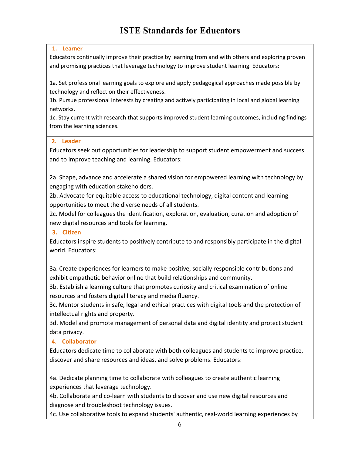#### **1. Learner**

Educators continually improve their practice by learning from and with others and exploring proven and promising practices that leverage technology to improve student learning. Educators:

1a. Set professional learning goals to explore and apply pedagogical approaches made possible by technology and reflect on their effectiveness.

1b. Pursue professional interests by creating and actively participating in local and global learning networks.

1c. Stay current with research that supports improved student learning outcomes, including findings from the learning sciences.

#### **2. Leader**

Educators seek out opportunities for leadership to support student empowerment and success and to improve teaching and learning. Educators:

2a. Shape, advance and accelerate a shared vision for empowered learning with technology by engaging with education stakeholders.

2b. Advocate for equitable access to educational technology, digital content and learning opportunities to meet the diverse needs of all students.

2c. Model for colleagues the identification, exploration, evaluation, curation and adoption of new digital resources and tools for learning.

#### **3. Citizen**

Educators inspire students to positively contribute to and responsibly participate in the digital world. Educators:

3a. Create experiences for learners to make positive, socially responsible contributions and exhibit empathetic behavior online that build relationships and community.

3b. Establish a learning culture that promotes curiosity and critical examination of online resources and fosters digital literacy and media fluency.

3c. Mentor students in safe, legal and ethical practices with digital tools and the protection of intellectual rights and property.

3d. Model and promote management of personal data and digital identity and protect student data privacy.

**4. Collaborator**

Educators dedicate time to collaborate with both colleagues and students to improve practice, discover and share resources and ideas, and solve problems. Educators:

4a. Dedicate planning time to collaborate with colleagues to create authentic learning experiences that leverage technology.

4b. Collaborate and co-learn with students to discover and use new digital resources and diagnose and troubleshoot technology issues.

4c. Use collaborative tools to expand students' authentic, real-world learning experiences by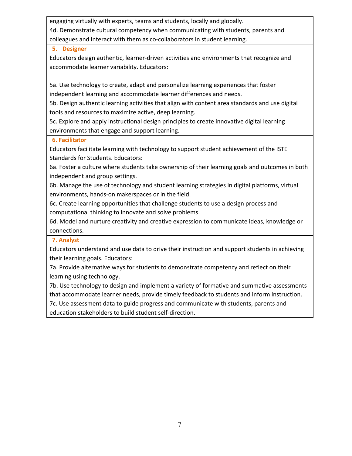engaging virtually with experts, teams and students, locally and globally. 4d. Demonstrate cultural competency when communicating with students, parents and colleagues and interact with them as co-collaborators in student learning.

#### **5. Designer**

Educators design authentic, learner-driven activities and environments that recognize and accommodate learner variability. Educators:

5a. Use technology to create, adapt and personalize learning experiences that foster independent learning and accommodate learner differences and needs.

5b. Design authentic learning activities that align with content area standards and use digital tools and resources to maximize active, deep learning.

5c. Explore and apply instructional design principles to create innovative digital learning environments that engage and support learning.

### **6. Facilitator**

Educators facilitate learning with technology to support student achievement of the ISTE Standards for Students. Educators:

6a. Foster a culture where students take ownership of their learning goals and outcomes in both independent and group settings.

6b. Manage the use of technology and student learning strategies in digital platforms, virtual environments, hands-on makerspaces or in the field.

6c. Create learning opportunities that challenge students to use a design process and computational thinking to innovate and solve problems.

6d. Model and nurture creativity and creative expression to communicate ideas, knowledge or connections.

### **7. Analyst**

Educators understand and use data to drive their instruction and support students in achieving their learning goals. Educators:

7a. Provide alternative ways for students to demonstrate competency and reflect on their learning using technology.

7b. Use technology to design and implement a variety of formative and summative assessments that accommodate learner needs, provide timely feedback to students and inform instruction. 7c. Use assessment data to guide progress and communicate with students, parents and education stakeholders to build student self-direction.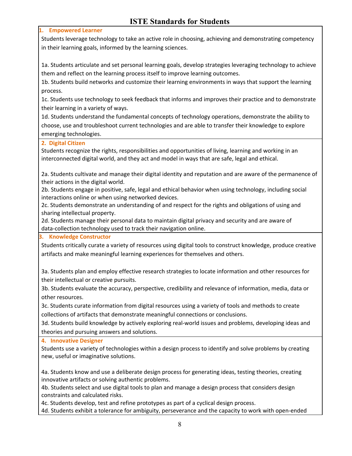#### **1. Empowered Learner**

Students leverage technology to take an active role in choosing, achieving and demonstrating competency in their learning goals, informed by the learning sciences.

1a. Students articulate and set personal learning goals, develop strategies leveraging technology to achieve them and reflect on the learning process itself to improve learning outcomes.

1b. Students build networks and customize their learning environments in ways that support the learning process.

1c. Students use technology to seek feedback that informs and improves their practice and to demonstrate their learning in a variety of ways.

1d. Students understand the fundamental concepts of technology operations, demonstrate the ability to choose, use and troubleshoot current technologies and are able to transfer their knowledge to explore emerging technologies.

#### **2. Digital Citizen**

Students recognize the rights, responsibilities and opportunities of living, learning and working in an interconnected digital world, and they act and model in ways that are safe, legal and ethical.

2a. Students cultivate and manage their digital identity and reputation and are aware of the permanence of their actions in the digital world.

2b. Students engage in positive, safe, legal and ethical behavior when using technology, including social interactions online or when using networked devices.

2c. Students demonstrate an understanding of and respect for the rights and obligations of using and sharing intellectual property.

2d. Students manage their personal data to maintain digital privacy and security and are aware of data-collection technology used to track their navigation online.

#### **3. Knowledge Constructor**

Students critically curate a variety of resources using digital tools to construct knowledge, produce creative artifacts and make meaningful learning experiences for themselves and others.

3a. Students plan and employ effective research strategies to locate information and other resources for their intellectual or creative pursuits.

3b. Students evaluate the accuracy, perspective, credibility and relevance of information, media, data or other resources.

3c. Students curate information from digital resources using a variety of tools and methods to create collections of artifacts that demonstrate meaningful connections or conclusions.

3d. Students build knowledge by actively exploring real-world issues and problems, developing ideas and theories and pursuing answers and solutions.

#### **4. Innovative Designer**

Students use a variety of technologies within a design process to identify and solve problems by creating new, useful or imaginative solutions.

4a. Students know and use a deliberate design process for generating ideas, testing theories, creating innovative artifacts or solving authentic problems.

4b. Students select and use digital tools to plan and manage a design process that considers design constraints and calculated risks.

4c. Students develop, test and refine prototypes as part of a cyclical design process.

4d. Students exhibit a tolerance for ambiguity, perseverance and the capacity to work with open-ended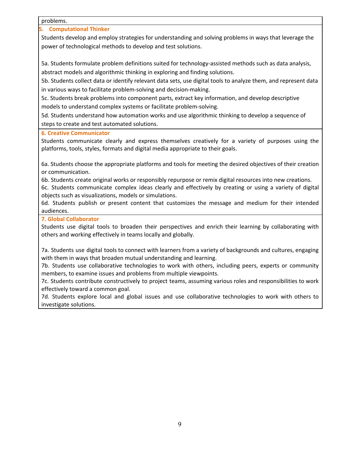problems.

#### **5. Computational Thinker**

Students develop and employ strategies for understanding and solving problems in ways that leverage the power of technological methods to develop and test solutions.

5a. Students formulate problem definitions suited for technology-assisted methods such as data analysis, abstract models and algorithmic thinking in exploring and finding solutions.

5b. Students collect data or identify relevant data sets, use digital tools to analyze them, and represent data in various ways to facilitate problem-solving and decision-making.

5c. Students break problems into component parts, extract key information, and develop descriptive models to understand complex systems or facilitate problem-solving.

5d. Students understand how automation works and use algorithmic thinking to develop a sequence of steps to create and test automated solutions.

#### **6. Creative Communicator**

Students communicate clearly and express themselves creatively for a variety of purposes using the platforms, tools, styles, formats and digital media appropriate to their goals.

6a. Students choose the appropriate platforms and tools for meeting the desired objectives of their creation or communication.

6b. Students create original works or responsibly repurpose or remix digital resources into new creations.

6c. Students communicate complex ideas clearly and effectively by creating or using a variety of digital objects such as visualizations, models or simulations.

6d. Students publish or present content that customizes the message and medium for their intended audiences.

**7. Global Collaborator**

Students use digital tools to broaden their perspectives and enrich their learning by collaborating with others and working effectively in teams locally and globally.

7a. Students use digital tools to connect with learners from a variety of backgrounds and cultures, engaging with them in ways that broaden mutual understanding and learning.

7b. Students use collaborative technologies to work with others, including peers, experts or community members, to examine issues and problems from multiple viewpoints.

7c. Students contribute constructively to project teams, assuming various roles and responsibilities to work effectively toward a common goal.

7d. Students explore local and global issues and use collaborative technologies to work with others to investigate solutions.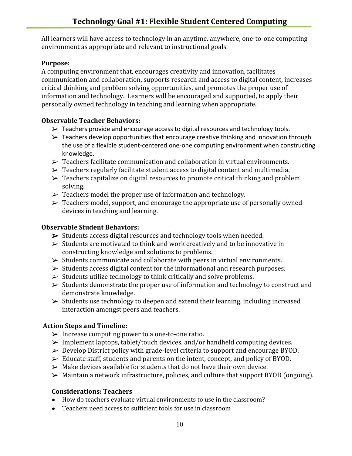All learners will have access to technology in an anytime, anywhere, one-to-one computing environment as appropriate and relevant to instructional goals.

# **Purpose:**

A computing environment that, encourages creativity and innovation, facilitates communication and collaboration, supports research and access to digital content, increases critical thinking and problem solving opportunities, and promotes the proper use of information and technology. Learners will be encouraged and supported, to apply their personally owned technology in teaching and learning when appropriate.

# **Observable Teacher Behaviors:**

- ➢ Teachers provide and encourage access to digital resources and technology tools.
- $\triangleright$  Teachers develop opportunities that encourage creative thinking and innovation through the use of a flexible student-centered one-one computing environment when constructing knowledge.
- $\triangleright$  Teachers facilitate communication and collaboration in virtual environments.
- $\triangleright$  Teachers regularly facilitate student access to digital content and multimedia.
- ➢ Teachers capitalize on digital resources to promote critical thinking and problem solving.
- $\triangleright$  Teachers model the proper use of information and technology.
- $\triangleright$  Teachers model, support, and encourage the appropriate use of personally owned devices in teaching and learning.

### **Observable Student Behaviors:**

- ➢ Students access digital resources and technology tools when needed.
- $\triangleright$  Students are motivated to think and work creatively and to be innovative in constructing knowledge and solutions to problems.
- $\triangleright$  Students communicate and collaborate with peers in virtual environments.
- $\triangleright$  Students access digital content for the informational and research purposes.
- $\triangleright$  Students utilize technology to think critically and solve problems.
- ➢ Students demonstrate the proper use of information and technology to construct and demonstrate knowledge.
- ➢ Students use technology to deepen and extend their learning, including increased interaction amongst peers and teachers.

# **Action Steps and Timeline:**

- $\triangleright$  Increase computing power to a one-to-one ratio.
- $\triangleright$  Implement laptops, tablet/touch devices, and/or handheld computing devices.
- ➢ Develop District policy with grade-level criteria to support and encourage BYOD.
- $\triangleright$  Educate staff, students and parents on the intent, concept, and policy of BYOD.
- $\triangleright$  Make devices available for students that do not have their own device.
- $\triangleright$  Maintain a network infrastructure, policies, and culture that support BYOD (ongoing).

# **Considerations: Teachers**

- How do teachers evaluate virtual environments to use in the classroom?
- Teachers need access to sufficient tools for use in classroom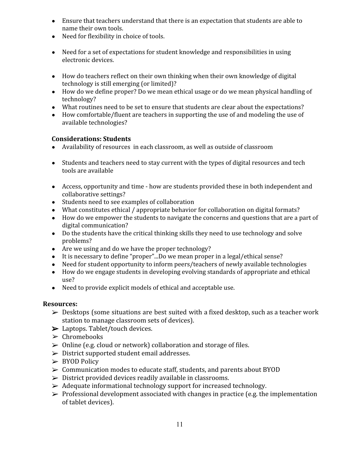- Ensure that teachers understand that there is an expectation that students are able to name their own tools.
- Need for flexibility in choice of tools.
- Need for a set of expectations for student knowledge and responsibilities in using electronic devices.
- How do teachers reflect on their own thinking when their own knowledge of digital technology is still emerging (or limited)?
- How do we define proper? Do we mean ethical usage or do we mean physical handling of technology?
- What routines need to be set to ensure that students are clear about the expectations?
- How comfortable/fluent are teachers in supporting the use of and modeling the use of available technologies?

# **Considerations: Students**

- Availability of resources in each classroom, as well as outside of classroom
- Students and teachers need to stay current with the types of digital resources and tech tools are available
- Access, opportunity and time how are students provided these in both independent and collaborative settings?
- Students need to see examples of collaboration
- What constitutes ethical / appropriate behavior for collaboration on digital formats?
- How do we empower the students to navigate the concerns and questions that are a part of digital communication?
- Do the students have the critical thinking skills they need to use technology and solve problems?
- Are we using and do we have the proper technology?
- It is necessary to define "proper"...Do we mean proper in a legal/ethical sense?
- Need for student opportunity to inform peers/teachers of newly available technologies
- How do we engage students in developing evolving standards of appropriate and ethical use?
- Need to provide explicit models of ethical and acceptable use.

# **Resources:**

- $\triangleright$  Desktops (some situations are best suited with a fixed desktop, such as a teacher work station to manage classroom sets of devices).
- ➢ Laptops. Tablet/touch devices.
- $\triangleright$  Chromebooks
- $\triangleright$  Online (e.g. cloud or network) collaboration and storage of files.
- $\triangleright$  District supported student email addresses.
- ➢ BYOD Policy
- ➢ Communication modes to educate staff, students, and parents about BYOD
- $\triangleright$  District provided devices readily available in classrooms.
- ➢ Adequate informational technology support for increased technology.
- $\triangleright$  Professional development associated with changes in practice (e.g. the implementation of tablet devices).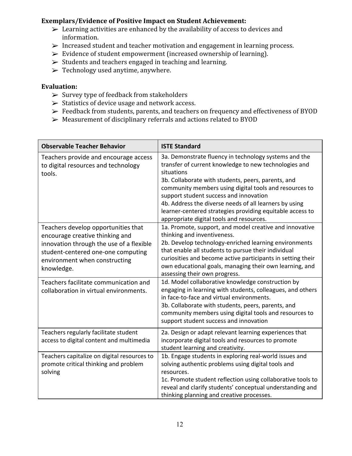## **Exemplars/Evidence of Positive Impact on Student Achievement:**

- $\triangleright$  Learning activities are enhanced by the availability of access to devices and information.
- ➢ Increased student and teacher motivation and engagement in learning process.
- $\triangleright$  Evidence of student empowerment (increased ownership of learning).
- $\triangleright$  Students and teachers engaged in teaching and learning.
- $\triangleright$  Technology used anytime, anywhere.

#### **Evaluation:**

- $\triangleright$  Survey type of feedback from stakeholders
- ➢ Statistics of device usage and network access.
- ➢ Feedback from students, parents, and teachers on frequency and effectiveness of BYOD
- ➢ Measurement of disciplinary referrals and actions related to BYOD

| <b>Observable Teacher Behavior</b>                                                                                                                                                                      | <b>ISTE Standard</b>                                                                                                                                                                                                                                                                                                                                                                                                                                      |
|---------------------------------------------------------------------------------------------------------------------------------------------------------------------------------------------------------|-----------------------------------------------------------------------------------------------------------------------------------------------------------------------------------------------------------------------------------------------------------------------------------------------------------------------------------------------------------------------------------------------------------------------------------------------------------|
| Teachers provide and encourage access<br>to digital resources and technology<br>tools.                                                                                                                  | 3a. Demonstrate fluency in technology systems and the<br>transfer of current knowledge to new technologies and<br>situations<br>3b. Collaborate with students, peers, parents, and<br>community members using digital tools and resources to<br>support student success and innovation<br>4b. Address the diverse needs of all learners by using<br>learner-centered strategies providing equitable access to<br>appropriate digital tools and resources. |
| Teachers develop opportunities that<br>encourage creative thinking and<br>innovation through the use of a flexible<br>student-centered one-one computing<br>environment when constructing<br>knowledge. | 1a. Promote, support, and model creative and innovative<br>thinking and inventiveness.<br>2b. Develop technology-enriched learning environments<br>that enable all students to pursue their individual<br>curiosities and become active participants in setting their<br>own educational goals, managing their own learning, and<br>assessing their own progress.                                                                                         |
| Teachers facilitate communication and<br>collaboration in virtual environments.                                                                                                                         | 1d. Model collaborative knowledge construction by<br>engaging in learning with students, colleagues, and others<br>in face-to-face and virtual environments.<br>3b. Collaborate with students, peers, parents, and<br>community members using digital tools and resources to<br>support student success and innovation                                                                                                                                    |
| Teachers regularly facilitate student<br>access to digital content and multimedia                                                                                                                       | 2a. Design or adapt relevant learning experiences that<br>incorporate digital tools and resources to promote<br>student learning and creativity.                                                                                                                                                                                                                                                                                                          |
| Teachers capitalize on digital resources to<br>promote critical thinking and problem<br>solving                                                                                                         | 1b. Engage students in exploring real-world issues and<br>solving authentic problems using digital tools and<br>resources.<br>1c. Promote student reflection using collaborative tools to<br>reveal and clarify students' conceptual understanding and<br>thinking planning and creative processes.                                                                                                                                                       |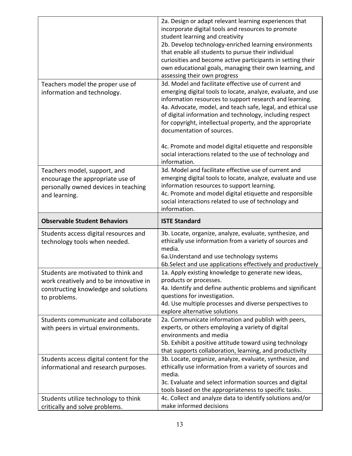|                                                                                                                                        | 2a. Design or adapt relevant learning experiences that<br>incorporate digital tools and resources to promote<br>student learning and creativity<br>2b. Develop technology-enriched learning environments<br>that enable all students to pursue their individual<br>curiosities and become active participants in setting their<br>own educational goals, managing their own learning, and<br>assessing their own progress                                                                                                    |
|----------------------------------------------------------------------------------------------------------------------------------------|------------------------------------------------------------------------------------------------------------------------------------------------------------------------------------------------------------------------------------------------------------------------------------------------------------------------------------------------------------------------------------------------------------------------------------------------------------------------------------------------------------------------------|
| Teachers model the proper use of<br>information and technology.                                                                        | 3d. Model and facilitate effective use of current and<br>emerging digital tools to locate, analyze, evaluate, and use<br>information resources to support research and learning.<br>4a. Advocate, model, and teach safe, legal, and ethical use<br>of digital information and technology, including respect<br>for copyright, intellectual property, and the appropriate<br>documentation of sources.<br>4c. Promote and model digital etiquette and responsible<br>social interactions related to the use of technology and |
| Teachers model, support, and<br>encourage the appropriate use of<br>personally owned devices in teaching<br>and learning.              | information.<br>3d. Model and facilitate effective use of current and<br>emerging digital tools to locate, analyze, evaluate and use<br>information resources to support learning.<br>4c. Promote and model digital etiquette and responsible<br>social interactions related to use of technology and<br>information.                                                                                                                                                                                                        |
|                                                                                                                                        |                                                                                                                                                                                                                                                                                                                                                                                                                                                                                                                              |
| <b>Observable Student Behaviors</b>                                                                                                    | <b>ISTE Standard</b>                                                                                                                                                                                                                                                                                                                                                                                                                                                                                                         |
| Students access digital resources and<br>technology tools when needed.                                                                 | 3b. Locate, organize, analyze, evaluate, synthesize, and<br>ethically use information from a variety of sources and<br>media.<br>6a. Understand and use technology systems<br>6b. Select and use applications effectively and productively                                                                                                                                                                                                                                                                                   |
| Students are motivated to think and<br>work creatively and to be innovative in<br>constructing knowledge and solutions<br>to problems. | 1a. Apply existing knowledge to generate new ideas,<br>products or processes.<br>4a. Identify and define authentic problems and significant<br>questions for investigation.<br>4d. Use multiple processes and diverse perspectives to<br>explore alternative solutions                                                                                                                                                                                                                                                       |
| Students communicate and collaborate<br>with peers in virtual environments.                                                            | 2a. Communicate information and publish with peers,<br>experts, or others employing a variety of digital<br>environments and media<br>5b. Exhibit a positive attitude toward using technology                                                                                                                                                                                                                                                                                                                                |
| Students access digital content for the<br>informational and research purposes.                                                        | that supports collaboration, learning, and productivity<br>3b. Locate, organize, analyze, evaluate, synthesize, and<br>ethically use information from a variety of sources and<br>media.<br>3c. Evaluate and select information sources and digital<br>tools based on the appropriateness to specific tasks.                                                                                                                                                                                                                 |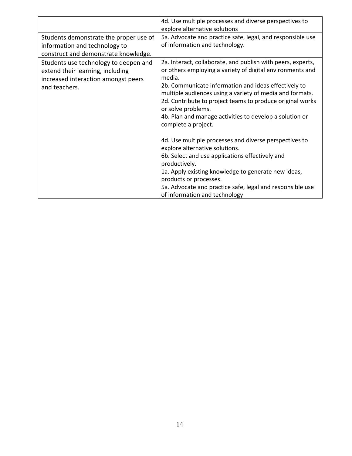|                                                                                                                                   | 4d. Use multiple processes and diverse perspectives to<br>explore alternative solutions                                                                                                                                                                                                                                                                                                                                                                                                                                                                                                                                                                                                                                                                                    |
|-----------------------------------------------------------------------------------------------------------------------------------|----------------------------------------------------------------------------------------------------------------------------------------------------------------------------------------------------------------------------------------------------------------------------------------------------------------------------------------------------------------------------------------------------------------------------------------------------------------------------------------------------------------------------------------------------------------------------------------------------------------------------------------------------------------------------------------------------------------------------------------------------------------------------|
| Students demonstrate the proper use of<br>information and technology to<br>construct and demonstrate knowledge.                   | 5a. Advocate and practice safe, legal, and responsible use<br>of information and technology.                                                                                                                                                                                                                                                                                                                                                                                                                                                                                                                                                                                                                                                                               |
| Students use technology to deepen and<br>extend their learning, including<br>increased interaction amongst peers<br>and teachers. | 2a. Interact, collaborate, and publish with peers, experts,<br>or others employing a variety of digital environments and<br>media.<br>2b. Communicate information and ideas effectively to<br>multiple audiences using a variety of media and formats.<br>2d. Contribute to project teams to produce original works<br>or solve problems.<br>4b. Plan and manage activities to develop a solution or<br>complete a project.<br>4d. Use multiple processes and diverse perspectives to<br>explore alternative solutions.<br>6b. Select and use applications effectively and<br>productively.<br>1a. Apply existing knowledge to generate new ideas,<br>products or processes.<br>5a. Advocate and practice safe, legal and responsible use<br>of information and technology |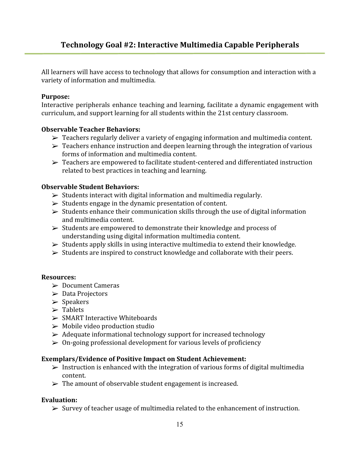All learners will have access to technology that allows for consumption and interaction with a variety of information and multimedia.

### **Purpose:**

Interactive peripherals enhance teaching and learning, facilitate a dynamic engagement with curriculum, and support learning for all students within the 21st century classroom.

### **Observable Teacher Behaviors:**

- $\triangleright$  Teachers regularly deliver a variety of engaging information and multimedia content.
- $\triangleright$  Teachers enhance instruction and deepen learning through the integration of various forms of information and multimedia content.
- $\triangleright$  Teachers are empowered to facilitate student-centered and differentiated instruction related to best practices in teaching and learning.

### **Observable Student Behaviors:**

- $\triangleright$  Students interact with digital information and multimedia regularly.
- $\triangleright$  Students engage in the dynamic presentation of content.
- $\triangleright$  Students enhance their communication skills through the use of digital information and multimedia content.
- ➢ Students are empowered to demonstrate their knowledge and process of understanding using digital information multimedia content.
- $\triangleright$  Students apply skills in using interactive multimedia to extend their knowledge.
- ➢ Students are inspired to construct knowledge and collaborate with their peers.

### **Resources:**

- ➢ Document Cameras
- ➢ Data Projectors
- $\triangleright$  Speakers
- $\triangleright$  Tablets
- $\triangleright$  SMART Interactive Whiteboards
- $\triangleright$  Mobile video production studio
- ➢ Adequate informational technology support for increased technology
- $\geq 0$ n-going professional development for various levels of proficiency

### **Exemplars/Evidence of Positive Impact on Student Achievement:**

- $\triangleright$  Instruction is enhanced with the integration of various forms of digital multimedia content.
- $\triangleright$  The amount of observable student engagement is increased.

### **Evaluation:**

 $\triangleright$  Survey of teacher usage of multimedia related to the enhancement of instruction.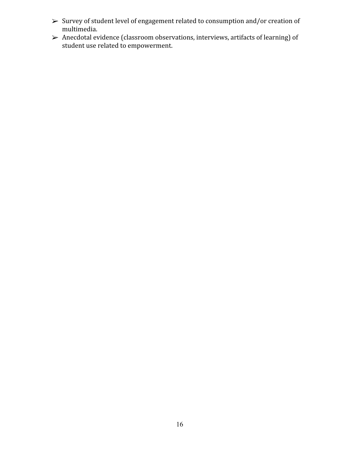- ➢ Survey of student level of engagement related to consumption and/or creation of multimedia.
- ➢ Anecdotal evidence (classroom observations, interviews, artifacts of learning) of student use related to empowerment.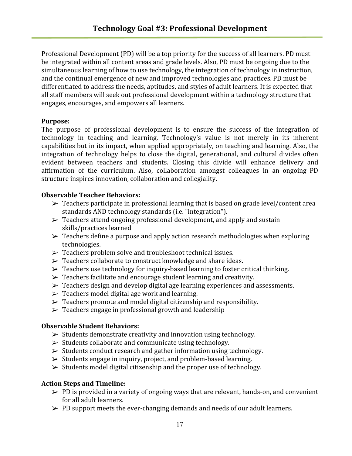Professional Development (PD) will be a top priority for the success of all learners. PD must be integrated within all content areas and grade levels. Also, PD must be ongoing due to the simultaneous learning of how to use technology, the integration of technology in instruction, and the continual emergence of new and improved technologies and practices. PD must be differentiated to address the needs, aptitudes, and styles of adult learners. It is expected that all staff members will seek out professional development within a technology structure that engages, encourages, and empowers all learners.

#### **Purpose:**

The purpose of professional development is to ensure the success of the integration of technology in teaching and learning. Technology's value is not merely in its inherent capabilities but in its impact, when applied appropriately, on teaching and learning. Also, the integration of technology helps to close the digital, generational, and cultural divides often evident between teachers and students. Closing this divide will enhance delivery and affirmation of the curriculum. Also, collaboration amongst colleagues in an ongoing PD structure inspires innovation, collaboration and collegiality.

#### **Observable Teacher Behaviors:**

- $\triangleright$  Teachers participate in professional learning that is based on grade level/content area standards AND technology standards (i.e. "integration").
- $\triangleright$  Teachers attend ongoing professional development, and apply and sustain skills/practices learned
- $\triangleright$  Teachers define a purpose and apply action research methodologies when exploring technologies.
- ➢ Teachers problem solve and troubleshoot technical issues.
- $\triangleright$  Teachers collaborate to construct knowledge and share ideas.
- ➢ Teachers use technology for inquiry-based learning to foster critical thinking.
- $\triangleright$  Teachers facilitate and encourage student learning and creativity.
- $\triangleright$  Teachers design and develop digital age learning experiences and assessments.
- $\triangleright$  Teachers model digital age work and learning.
- $\triangleright$  Teachers promote and model digital citizenship and responsibility.
- $\triangleright$  Teachers engage in professional growth and leadership

#### **Observable Student Behaviors:**

- $\triangleright$  Students demonstrate creativity and innovation using technology.
- $\triangleright$  Students collaborate and communicate using technology.
- ➢ Students conduct research and gather information using technology.
- $\triangleright$  Students engage in inquiry, project, and problem-based learning.
- $\triangleright$  Students model digital citizenship and the proper use of technology.

### **Action Steps and Timeline:**

- $\triangleright$  PD is provided in a variety of ongoing ways that are relevant, hands-on, and convenient for all adult learners.
- $\triangleright$  PD support meets the ever-changing demands and needs of our adult learners.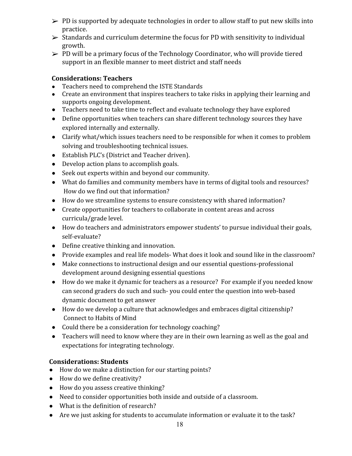- $\triangleright$  PD is supported by adequate technologies in order to allow staff to put new skills into practice.
- $\triangleright$  Standards and curriculum determine the focus for PD with sensitivity to individual growth.
- $\triangleright$  PD will be a primary focus of the Technology Coordinator, who will provide tiered support in an flexible manner to meet district and staff needs

### **Considerations: Teachers**

- Teachers need to comprehend the ISTE Standards
- Create an environment that inspires teachers to take risks in applying their learning and supports ongoing development.
- Teachers need to take time to reflect and evaluate technology they have explored
- Define opportunities when teachers can share different technology sources they have explored internally and externally.
- Clarify what/which issues teachers need to be responsible for when it comes to problem solving and troubleshooting technical issues.
- Establish PLC's (District and Teacher driven).
- Develop action plans to accomplish goals.
- Seek out experts within and beyond our community.
- What do families and community members have in terms of digital tools and resources? How do we find out that information?
- How do we streamline systems to ensure consistency with shared information?
- Create opportunities for teachers to collaborate in content areas and across curricula/grade level.
- How do teachers and administrators empower students' to pursue individual their goals, self-evaluate?
- Define creative thinking and innovation.
- Provide examples and real life models- What does it look and sound like in the classroom?
- Make connections to instructional design and our essential questions-professional development around designing essential questions
- How do we make it dynamic for teachers as a resource? For example if you needed know can second graders do such and such- you could enter the question into web-based dynamic document to get answer
- How do we develop a culture that acknowledges and embraces digital citizenship? Connect to Habits of Mind
- Could there be a consideration for technology coaching?
- Teachers will need to know where they are in their own learning as well as the goal and expectations for integrating technology.

# **Considerations: Students**

- How do we make a distinction for our starting points?
- How do we define creativity?
- How do you assess creative thinking?
- Need to consider opportunities both inside and outside of a classroom.
- What is the definition of research?
- Are we just asking for students to accumulate information or evaluate it to the task?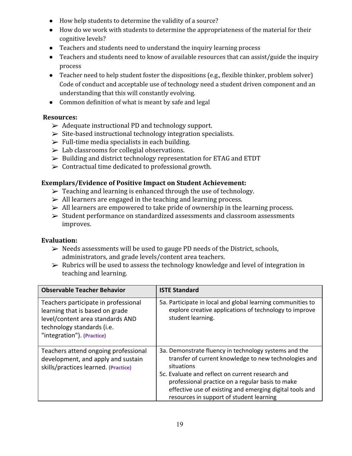- How help students to determine the validity of a source?
- How do we work with students to determine the appropriateness of the material for their cognitive levels?
- Teachers and students need to understand the inquiry learning process
- Teachers and students need to know of available resources that can assist/guide the inquiry process
- Teacher need to help student foster the dispositions (e.g., flexible thinker, problem solver) Code of conduct and acceptable use of technology need a student driven component and an understanding that this will constantly evolving.
- Common definition of what is meant by safe and legal

# **Resources:**

- $\triangleright$  Adequate instructional PD and technology support.
- $\triangleright$  Site-based instructional technology integration specialists.
- $\triangleright$  Full-time media specialists in each building.
- $\triangleright$  Lab classrooms for collegial observations.
- ➢ Building and district technology representation for ETAG and ETDT
- $\triangleright$  Contractual time dedicated to professional growth.

# **Exemplars/Evidence of Positive Impact on Student Achievement:**

- $\triangleright$  Teaching and learning is enhanced through the use of technology.
- $\triangleright$  All learners are engaged in the teaching and learning process.
- $\triangleright$  All learners are empowered to take pride of ownership in the learning process.
- ➢ Student performance on standardized assessments and classroom assessments improves.

# **Evaluation:**

- $\triangleright$  Needs assessments will be used to gauge PD needs of the District, schools, administrators, and grade levels/content area teachers.
- $\triangleright$  Rubrics will be used to assess the technology knowledge and level of integration in teaching and learning.

| <b>Observable Teacher Behavior</b>                                                                                                                                      | <b>ISTE Standard</b>                                                                                                                                                                                                                                                                                                                         |
|-------------------------------------------------------------------------------------------------------------------------------------------------------------------------|----------------------------------------------------------------------------------------------------------------------------------------------------------------------------------------------------------------------------------------------------------------------------------------------------------------------------------------------|
| Teachers participate in professional<br>learning that is based on grade<br>level/content area standards AND<br>technology standards (i.e.<br>"integration"). (Practice) | 5a. Participate in local and global learning communities to<br>explore creative applications of technology to improve<br>student learning.                                                                                                                                                                                                   |
| Teachers attend ongoing professional<br>development, and apply and sustain<br>skills/practices learned. (Practice)                                                      | 3a. Demonstrate fluency in technology systems and the<br>transfer of current knowledge to new technologies and<br>situations<br>5c. Evaluate and reflect on current research and<br>professional practice on a regular basis to make<br>effective use of existing and emerging digital tools and<br>resources in support of student learning |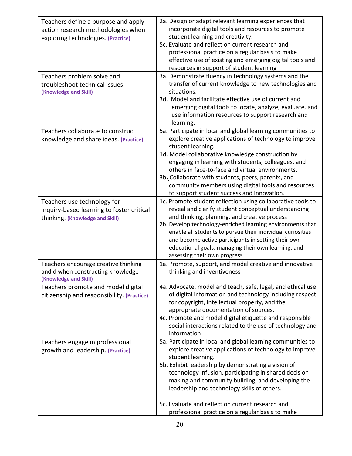| Teachers define a purpose and apply<br>action research methodologies when<br>exploring technologies. (Practice)<br>Teachers problem solve and<br>troubleshoot technical issues.<br>(Knowledge and Skill) | 2a. Design or adapt relevant learning experiences that<br>incorporate digital tools and resources to promote<br>student learning and creativity.<br>5c. Evaluate and reflect on current research and<br>professional practice on a regular basis to make<br>effective use of existing and emerging digital tools and<br>resources in support of student learning<br>3a. Demonstrate fluency in technology systems and the<br>transfer of current knowledge to new technologies and<br>situations.<br>3d. Model and facilitate effective use of current and<br>emerging digital tools to locate, analyze, evaluate, and<br>use information resources to support research and<br>learning. |
|----------------------------------------------------------------------------------------------------------------------------------------------------------------------------------------------------------|------------------------------------------------------------------------------------------------------------------------------------------------------------------------------------------------------------------------------------------------------------------------------------------------------------------------------------------------------------------------------------------------------------------------------------------------------------------------------------------------------------------------------------------------------------------------------------------------------------------------------------------------------------------------------------------|
| Teachers collaborate to construct<br>knowledge and share ideas. (Practice)                                                                                                                               | 5a. Participate in local and global learning communities to<br>explore creative applications of technology to improve<br>student learning.<br>1d. Model collaborative knowledge construction by<br>engaging in learning with students, colleagues, and<br>others in face-to-face and virtual environments.<br>3b. Collaborate with students, peers, parents, and<br>community members using digital tools and resources<br>to support student success and innovation.                                                                                                                                                                                                                    |
| Teachers use technology for<br>inquiry-based learning to foster critical<br>thinking. (Knowledge and Skill)                                                                                              | 1c. Promote student reflection using collaborative tools to<br>reveal and clarify student conceptual understanding<br>and thinking, planning, and creative process<br>2b. Develop technology-enriched learning environments that<br>enable all students to pursue their individual curiosities<br>and become active participants in setting their own<br>educational goals, managing their own learning, and<br>assessing their own progress                                                                                                                                                                                                                                             |
| Teachers encourage creative thinking<br>and d when constructing knowledge<br>(Knowledge and Skill)                                                                                                       | 1a. Promote, support, and model creative and innovative<br>thinking and inventiveness                                                                                                                                                                                                                                                                                                                                                                                                                                                                                                                                                                                                    |
| Teachers promote and model digital<br>citizenship and responsibility. (Practice)                                                                                                                         | 4a. Advocate, model and teach, safe, legal, and ethical use<br>of digital information and technology including respect<br>for copyright, intellectual property, and the<br>appropriate documentation of sources.<br>4c. Promote and model digital etiquette and responsible<br>social interactions related to the use of technology and<br>information                                                                                                                                                                                                                                                                                                                                   |
| Teachers engage in professional<br>growth and leadership. (Practice)                                                                                                                                     | 5a. Participate in local and global learning communities to<br>explore creative applications of technology to improve<br>student learning.<br>5b. Exhibit leadership by demonstrating a vision of<br>technology infusion, participating in shared decision<br>making and community building, and developing the<br>leadership and technology skills of others.<br>5c. Evaluate and reflect on current research and<br>professional practice on a regular basis to make                                                                                                                                                                                                                   |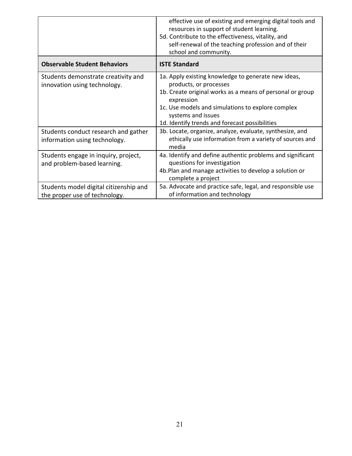|                                                                         | effective use of existing and emerging digital tools and<br>resources in support of student learning.<br>5d. Contribute to the effectiveness, vitality, and<br>self-renewal of the teaching profession and of their<br>school and community.                                          |
|-------------------------------------------------------------------------|---------------------------------------------------------------------------------------------------------------------------------------------------------------------------------------------------------------------------------------------------------------------------------------|
| <b>Observable Student Behaviors</b>                                     | <b>ISTE Standard</b>                                                                                                                                                                                                                                                                  |
| Students demonstrate creativity and<br>innovation using technology.     | 1a. Apply existing knowledge to generate new ideas,<br>products, or processes<br>1b. Create original works as a means of personal or group<br>expression<br>1c. Use models and simulations to explore complex<br>systems and issues<br>1d. Identify trends and forecast possibilities |
| Students conduct research and gather<br>information using technology.   | 3b. Locate, organize, analyze, evaluate, synthesize, and<br>ethically use information from a variety of sources and<br>media                                                                                                                                                          |
| Students engage in inquiry, project,<br>and problem-based learning.     | 4a. Identify and define authentic problems and significant<br>questions for investigation<br>4b. Plan and manage activities to develop a solution or<br>complete a project                                                                                                            |
| Students model digital citizenship and<br>the proper use of technology. | 5a. Advocate and practice safe, legal, and responsible use<br>of information and technology                                                                                                                                                                                           |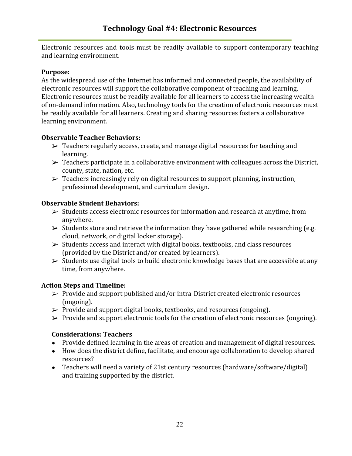Electronic resources and tools must be readily available to support contemporary teaching and learning environment.

#### **Purpose:**

As the widespread use of the Internet has informed and connected people, the availability of electronic resources will support the collaborative component of teaching and learning. Electronic resources must be readily available for all learners to access the increasing wealth of on-demand information. Also, technology tools for the creation of electronic resources must be readily available for all learners. Creating and sharing resources fosters a collaborative learning environment.

### **Observable Teacher Behaviors:**

- $\triangleright$  Teachers regularly access, create, and manage digital resources for teaching and learning.
- $\triangleright$  Teachers participate in a collaborative environment with colleagues across the District, county, state, nation, etc.
- $\triangleright$  Teachers increasingly rely on digital resources to support planning, instruction, professional development, and curriculum design.

### **Observable Student Behaviors:**

- ➢ Students access electronic resources for information and research at anytime, from anywhere.
- $\triangleright$  Students store and retrieve the information they have gathered while researching (e.g. cloud, network, or digital locker storage).
- $\triangleright$  Students access and interact with digital books, textbooks, and class resources (provided by the District and/or created by learners).
- $\triangleright$  Students use digital tools to build electronic knowledge bases that are accessible at any time, from anywhere.

### **Action Steps and Timeline:**

- ➢ Provide and support published and/or intra-District created electronic resources (ongoing).
- ➢ Provide and support digital books, textbooks, and resources (ongoing).
- $\triangleright$  Provide and support electronic tools for the creation of electronic resources (ongoing).

# **Considerations: Teachers**

- Provide defined learning in the areas of creation and management of digital resources.
- How does the district define, facilitate, and encourage collaboration to develop shared resources?
- Teachers will need a variety of 21st century resources (hardware/software/digital) and training supported by the district.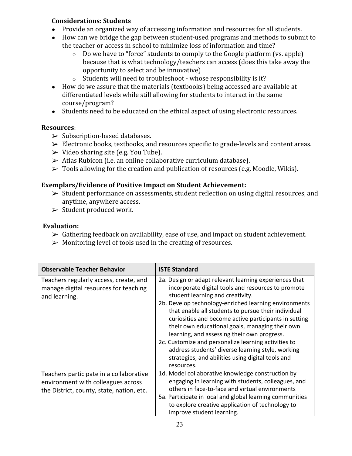### **Considerations: Students**

- Provide an organized way of accessing information and resources for all students.
- How can we bridge the gap between student-used programs and methods to submit to the teacher or access in school to minimize loss of information and time?
	- o Do we have to "force" students to comply to the Google platform (vs. apple) because that is what technology/teachers can access (does this take away the opportunity to select and be innovative)
	- o Students will need to troubleshoot whose responsibility is it?
- How do we assure that the materials (textbooks) being accessed are available at differentiated levels while still allowing for students to interact in the same course/program?
- Students need to be educated on the ethical aspect of using electronic resources.

### **Resources**:

- $\triangleright$  Subscription-based databases.
- $\triangleright$  Electronic books, textbooks, and resources specific to grade-levels and content areas.
- $\triangleright$  Video sharing site (e.g. You Tube).
- ➢ Atlas Rubicon (i.e. an online collaborative curriculum database).
- $\triangleright$  Tools allowing for the creation and publication of resources (e.g. Moodle, Wikis).

### **Exemplars/Evidence of Positive Impact on Student Achievement:**

- ➢ Student performance on assessments, student reflection on using digital resources, and anytime, anywhere access.
- ➢ Student produced work.

### **Evaluation:**

- $\triangleright$  Gathering feedback on availability, ease of use, and impact on student achievement.
- $\triangleright$  Monitoring level of tools used in the creating of resources.

| <b>Observable Teacher Behavior</b>                                                                                         | <b>ISTE Standard</b>                                                                                                                                                                                                                                                                                                                                                                                                                                                                                                                                                                                        |
|----------------------------------------------------------------------------------------------------------------------------|-------------------------------------------------------------------------------------------------------------------------------------------------------------------------------------------------------------------------------------------------------------------------------------------------------------------------------------------------------------------------------------------------------------------------------------------------------------------------------------------------------------------------------------------------------------------------------------------------------------|
| Teachers regularly access, create, and<br>manage digital resources for teaching<br>and learning.                           | 2a. Design or adapt relevant learning experiences that<br>incorporate digital tools and resources to promote<br>student learning and creativity.<br>2b. Develop technology-enriched learning environments<br>that enable all students to pursue their individual<br>curiosities and become active participants in setting<br>their own educational goals, managing their own<br>learning, and assessing their own progress.<br>2c. Customize and personalize learning activities to<br>address students' diverse learning style, working<br>strategies, and abilities using digital tools and<br>resources. |
| Teachers participate in a collaborative<br>environment with colleagues across<br>the District, county, state, nation, etc. | 1d. Model collaborative knowledge construction by<br>engaging in learning with students, colleagues, and<br>others in face-to-face and virtual environments<br>5a. Participate in local and global learning communities<br>to explore creative application of technology to<br>improve student learning.                                                                                                                                                                                                                                                                                                    |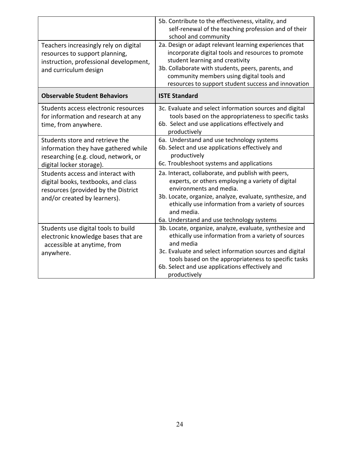|                                                                                                                                                 | 5b. Contribute to the effectiveness, vitality, and<br>self-renewal of the teaching profession and of their<br>school and community                                                                                                                                                                                |
|-------------------------------------------------------------------------------------------------------------------------------------------------|-------------------------------------------------------------------------------------------------------------------------------------------------------------------------------------------------------------------------------------------------------------------------------------------------------------------|
| Teachers increasingly rely on digital<br>resources to support planning,<br>instruction, professional development,<br>and curriculum design      | 2a. Design or adapt relevant learning experiences that<br>incorporate digital tools and resources to promote<br>student learning and creativity<br>3b. Collaborate with students, peers, parents, and<br>community members using digital tools and<br>resources to support student success and innovation         |
| <b>Observable Student Behaviors</b>                                                                                                             | <b>ISTE Standard</b>                                                                                                                                                                                                                                                                                              |
| Students access electronic resources<br>for information and research at any<br>time, from anywhere.                                             | 3c. Evaluate and select information sources and digital<br>tools based on the appropriateness to specific tasks<br>6b. Select and use applications effectively and<br>productively                                                                                                                                |
| Students store and retrieve the<br>information they have gathered while<br>researching (e.g. cloud, network, or<br>digital locker storage).     | 6a. Understand and use technology systems<br>6b. Select and use applications effectively and<br>productively<br>6c. Troubleshoot systems and applications                                                                                                                                                         |
| Students access and interact with<br>digital books, textbooks, and class<br>resources (provided by the District<br>and/or created by learners). | 2a. Interact, collaborate, and publish with peers,<br>experts, or others employing a variety of digital<br>environments and media.<br>3b. Locate, organize, analyze, evaluate, synthesize, and<br>ethically use information from a variety of sources<br>and media.<br>6a. Understand and use technology systems  |
| Students use digital tools to build<br>electronic knowledge bases that are<br>accessible at anytime, from<br>anywhere.                          | 3b. Locate, organize, analyze, evaluate, synthesize and<br>ethically use information from a variety of sources<br>and media<br>3c. Evaluate and select information sources and digital<br>tools based on the appropriateness to specific tasks<br>6b. Select and use applications effectively and<br>productively |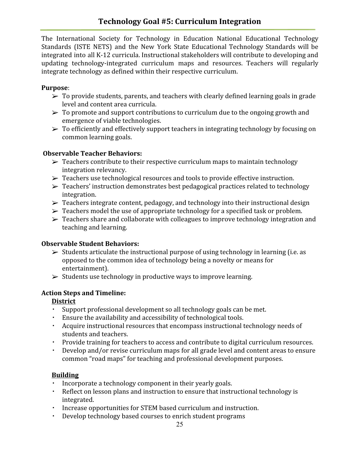The International Society for Technology in Education National Educational Technology Standards (ISTE NETS) and the New York State Educational Technology Standards will be integrated into all K-12 curricula. Instructional stakeholders will contribute to developing and updating technology-integrated curriculum maps and resources. Teachers will regularly integrate technology as defined within their respective curriculum.

### **Purpose**:

- $\triangleright$  To provide students, parents, and teachers with clearly defined learning goals in grade level and content area curricula.
- $\triangleright$  To promote and support contributions to curriculum due to the ongoing growth and emergence of viable technologies.
- ➢ To efficiently and effectively support teachers in integrating technology by focusing on common learning goals.

### **Observable Teacher Behaviors:**

- $\triangleright$  Teachers contribute to their respective curriculum maps to maintain technology integration relevancy.
- $\triangleright$  Teachers use technological resources and tools to provide effective instruction.
- ➢ Teachers' instruction demonstrates best pedagogical practices related to technology integration.
- $\triangleright$  Teachers integrate content, pedagogy, and technology into their instructional design
- $\triangleright$  Teachers model the use of appropriate technology for a specified task or problem.
- $\triangleright$  Teachers share and collaborate with colleagues to improve technology integration and teaching and learning.

### **Observable Student Behaviors:**

- $\triangleright$  Students articulate the instructional purpose of using technology in learning (i.e. as opposed to the common idea of technology being a novelty or means for entertainment).
- $\triangleright$  Students use technology in productive ways to improve learning.

# **Action Steps and Timeline:**

# **District**

- Support professional development so all technology goals can be met.
- Ensure the availability and accessibility of technological tools.
- Acquire instructional resources that encompass instructional technology needs of students and teachers.
- Provide training for teachers to access and contribute to digital curriculum resources.
- Develop and/or revise curriculum maps for all grade level and content areas to ensure common "road maps" for teaching and professional development purposes.

# **Building**

- Incorporate a technology component in their yearly goals.
- Reflect on lesson plans and instruction to ensure that instructional technology is integrated.
- Increase opportunities for STEM based curriculum and instruction.
- Develop technology based courses to enrich student programs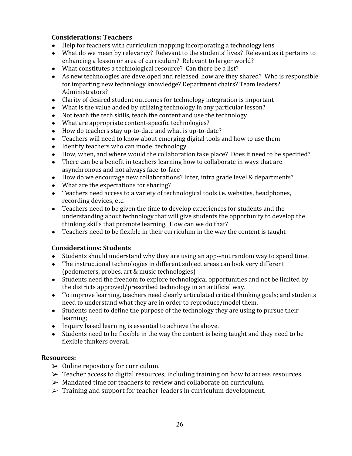## **Considerations: Teachers**

- Help for teachers with curriculum mapping incorporating a technology lens
- What do we mean by relevancy? Relevant to the students' lives? Relevant as it pertains to enhancing a lesson or area of curriculum? Relevant to larger world?
- What constitutes a technological resource? Can there be a list?
- As new technologies are developed and released, how are they shared? Who is responsible for imparting new technology knowledge? Department chairs? Team leaders? Administrators?
- Clarity of desired student outcomes for technology integration is important
- What is the value added by utilizing technology in any particular lesson?
- Not teach the tech skills, teach the content and use the technology
- What are appropriate content-specific technologies?
- How do teachers stay up-to-date and what is up-to-date?
- Teachers will need to know about emerging digital tools and how to use them
- Identify teachers who can model technology
- How, when, and where would the collaboration take place? Does it need to be specified?
- There can be a benefit in teachers learning how to collaborate in ways that are asynchronous and not always face-to-face
- How do we encourage new collaborations? Inter, intra grade level & departments?
- What are the expectations for sharing?
- Teachers need access to a variety of technological tools i.e. websites, headphones, recording devices, etc.
- Teachers need to be given the time to develop experiences for students and the understanding about technology that will give students the opportunity to develop the thinking skills that promote learning. How can we do that?
- Teachers need to be flexible in their curriculum in the way the content is taught

### **Considerations: Students**

- Students should understand why they are using an app--not random way to spend time.
- The instructional technologies in different subject areas can look very different (pedometers, probes, art & music technologies)
- Students need the freedom to explore technological opportunities and not be limited by the districts approved/prescribed technology in an artificial way.
- To improve learning, teachers need clearly articulated critical thinking goals; and students need to understand what they are in order to reproduce/model them.
- Students need to define the purpose of the technology they are using to pursue their learning;
- Inquiry based learning is essential to achieve the above.
- Students need to be flexible in the way the content is being taught and they need to be flexible thinkers overall

### **Resources:**

- $\triangleright$  Online repository for curriculum.
- $\triangleright$  Teacher access to digital resources, including training on how to access resources.
- ➢ Mandated time for teachers to review and collaborate on curriculum.
- $\triangleright$  Training and support for teacher-leaders in curriculum development.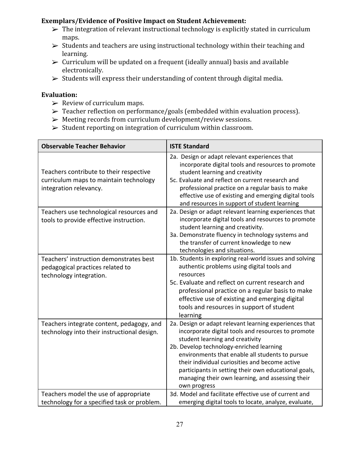## **Exemplars/Evidence of Positive Impact on Student Achievement:**

- $\triangleright$  The integration of relevant instructional technology is explicitly stated in curriculum maps.
- $\triangleright$  Students and teachers are using instructional technology within their teaching and learning.
- $\triangleright$  Curriculum will be updated on a frequent (ideally annual) basis and available electronically.
- $\triangleright$  Students will express their understanding of content through digital media.

### **Evaluation:**

- $\triangleright$  Review of curriculum maps.
- ➢ Teacher reflection on performance/goals (embedded within evaluation process).
- ➢ Meeting records from curriculum development/review sessions.
- $\triangleright$  Student reporting on integration of curriculum within classroom.

| <b>Observable Teacher Behavior</b>                                                                          | <b>ISTE Standard</b>                                                                                                                                                                                                                                                                                                                                                                                                         |
|-------------------------------------------------------------------------------------------------------------|------------------------------------------------------------------------------------------------------------------------------------------------------------------------------------------------------------------------------------------------------------------------------------------------------------------------------------------------------------------------------------------------------------------------------|
| Teachers contribute to their respective<br>curriculum maps to maintain technology<br>integration relevancy. | 2a. Design or adapt relevant experiences that<br>incorporate digital tools and resources to promote<br>student learning and creativity<br>5c. Evaluate and reflect on current research and<br>professional practice on a regular basis to make<br>effective use of existing and emerging digital tools<br>and resources in support of student learning                                                                       |
| Teachers use technological resources and<br>tools to provide effective instruction.                         | 2a. Design or adapt relevant learning experiences that<br>incorporate digital tools and resources to promote<br>student learning and creativity.<br>3a. Demonstrate fluency in technology systems and<br>the transfer of current knowledge to new<br>technologies and situations.                                                                                                                                            |
| Teachers' instruction demonstrates best<br>pedagogical practices related to<br>technology integration.      | 1b. Students in exploring real-world issues and solving<br>authentic problems using digital tools and<br>resources<br>5c. Evaluate and reflect on current research and<br>professional practice on a regular basis to make<br>effective use of existing and emerging digital<br>tools and resources in support of student<br>learning                                                                                        |
| Teachers integrate content, pedagogy, and<br>technology into their instructional design.                    | 2a. Design or adapt relevant learning experiences that<br>incorporate digital tools and resources to promote<br>student learning and creativity<br>2b. Develop technology-enriched learning<br>environments that enable all students to pursue<br>their individual curiosities and become active<br>participants in setting their own educational goals,<br>managing their own learning, and assessing their<br>own progress |
| Teachers model the use of appropriate<br>technology for a specified task or problem.                        | 3d. Model and facilitate effective use of current and<br>emerging digital tools to locate, analyze, evaluate,                                                                                                                                                                                                                                                                                                                |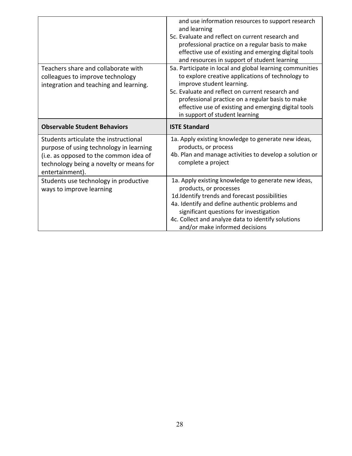|                                                                                                                                                                                          | and use information resources to support research<br>and learning<br>5c. Evaluate and reflect on current research and<br>professional practice on a regular basis to make<br>effective use of existing and emerging digital tools<br>and resources in support of student learning                                                            |
|------------------------------------------------------------------------------------------------------------------------------------------------------------------------------------------|----------------------------------------------------------------------------------------------------------------------------------------------------------------------------------------------------------------------------------------------------------------------------------------------------------------------------------------------|
| Teachers share and collaborate with<br>colleagues to improve technology<br>integration and teaching and learning.                                                                        | 5a. Participate in local and global learning communities<br>to explore creative applications of technology to<br>improve student learning.<br>5c. Evaluate and reflect on current research and<br>professional practice on a regular basis to make<br>effective use of existing and emerging digital tools<br>in support of student learning |
| <b>Observable Student Behaviors</b>                                                                                                                                                      | <b>ISTE Standard</b>                                                                                                                                                                                                                                                                                                                         |
| Students articulate the instructional<br>purpose of using technology in learning<br>(i.e. as opposed to the common idea of<br>technology being a novelty or means for<br>entertainment). | 1a. Apply existing knowledge to generate new ideas,<br>products, or process<br>4b. Plan and manage activities to develop a solution or<br>complete a project                                                                                                                                                                                 |
| Students use technology in productive<br>ways to improve learning                                                                                                                        | 1a. Apply existing knowledge to generate new ideas,<br>products, or processes<br>1d.Identify trends and forecast possibilities<br>4a. Identify and define authentic problems and                                                                                                                                                             |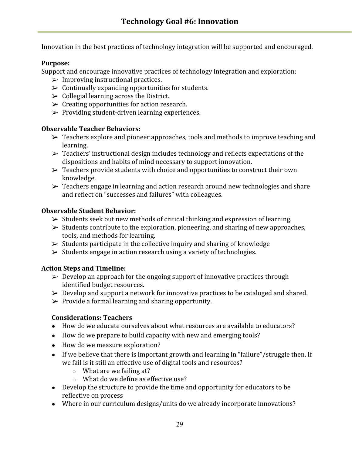Innovation in the best practices of technology integration will be supported and encouraged.

### **Purpose:**

Support and encourage innovative practices of technology integration and exploration:

- $\triangleright$  Improving instructional practices.
- $\triangleright$  Continually expanding opportunities for students.
- $\triangleright$  Collegial learning across the District.
- $\triangleright$  Creating opportunities for action research.
- $\triangleright$  Providing student-driven learning experiences.

### **Observable Teacher Behaviors:**

- $\triangleright$  Teachers explore and pioneer approaches, tools and methods to improve teaching and learning.
- ➢ Teachers' instructional design includes technology and reflects expectations of the dispositions and habits of mind necessary to support innovation.
- $\triangleright$  Teachers provide students with choice and opportunities to construct their own knowledge.
- ➢ Teachers engage in learning and action research around new technologies and share and reflect on "successes and failures" with colleagues.

### **Observable Student Behavior:**

- $\triangleright$  Students seek out new methods of critical thinking and expression of learning.
- $\triangleright$  Students contribute to the exploration, pioneering, and sharing of new approaches, tools, and methods for learning.
- $\triangleright$  Students participate in the collective inquiry and sharing of knowledge
- $\triangleright$  Students engage in action research using a variety of technologies.

# **Action Steps and Timeline:**

- $\triangleright$  Develop an approach for the ongoing support of innovative practices through identified budget resources.
- $\triangleright$  Develop and support a network for innovative practices to be cataloged and shared.
- $\triangleright$  Provide a formal learning and sharing opportunity.

# **Considerations: Teachers**

- How do we educate ourselves about what resources are available to educators?
- How do we prepare to build capacity with new and emerging tools?
- How do we measure exploration?
- If we believe that there is important growth and learning in "failure"/struggle then, If we fail is it still an effective use of digital tools and resources?
	- o What are we failing at?
	- o What do we define as effective use?
- Develop the structure to provide the time and opportunity for educators to be reflective on process
- Where in our curriculum designs/units do we already incorporate innovations?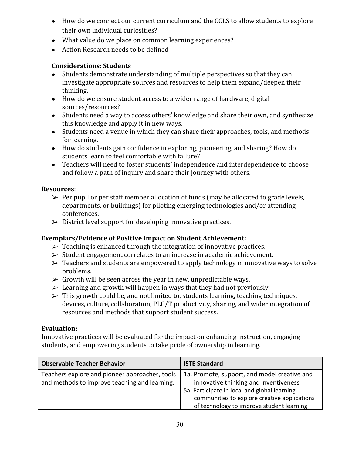- How do we connect our current curriculum and the CCLS to allow students to explore their own individual curiosities?
- What value do we place on common learning experiences?
- Action Research needs to be defined

# **Considerations: Students**

- Students demonstrate understanding of multiple perspectives so that they can investigate appropriate sources and resources to help them expand/deepen their thinking.
- How do we ensure student access to a wider range of hardware, digital sources/resources?
- Students need a way to access others' knowledge and share their own, and synthesize this knowledge and apply it in new ways.
- Students need a venue in which they can share their approaches, tools, and methods for learning.
- How do students gain confidence in exploring, pioneering, and sharing? How do students learn to feel comfortable with failure?
- Teachers will need to foster students' independence and interdependence to choose and follow a path of inquiry and share their journey with others.

### **Resources**:

- $\triangleright$  Per pupil or per staff member allocation of funds (may be allocated to grade levels, departments, or buildings) for piloting emerging technologies and/or attending conferences.
- $\triangleright$  District level support for developing innovative practices.

# **Exemplars/Evidence of Positive Impact on Student Achievement:**

- $\triangleright$  Teaching is enhanced through the integration of innovative practices.
- $\triangleright$  Student engagement correlates to an increase in academic achievement.
- $\triangleright$  Teachers and students are empowered to apply technology in innovative ways to solve problems.
- $\triangleright$  Growth will be seen across the year in new, unpredictable ways.
- $\triangleright$  Learning and growth will happen in ways that they had not previously.
- $\triangleright$  This growth could be, and not limited to, students learning, teaching techniques, devices, culture, collaboration, PLC/T productivity, sharing, and wider integration of resources and methods that support student success.

# **Evaluation:**

Innovative practices will be evaluated for the impact on enhancing instruction, engaging students, and empowering students to take pride of ownership in learning.

| <b>Observable Teacher Behavior</b>                                                              | <b>ISTE Standard</b>                                                                                                                                                                                                               |
|-------------------------------------------------------------------------------------------------|------------------------------------------------------------------------------------------------------------------------------------------------------------------------------------------------------------------------------------|
| Teachers explore and pioneer approaches, tools<br>and methods to improve teaching and learning. | 1a. Promote, support, and model creative and<br>innovative thinking and inventiveness<br>5a. Participate in local and global learning<br>communities to explore creative applications<br>of technology to improve student learning |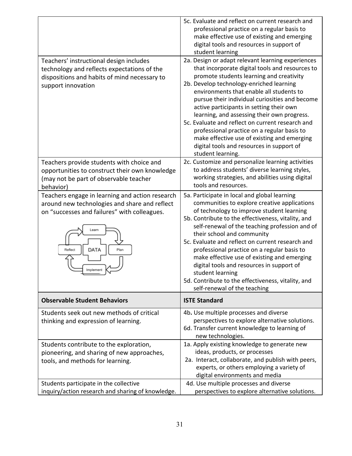|                                                                                                                                                                                                   | 5c. Evaluate and reflect on current research and<br>professional practice on a regular basis to<br>make effective use of existing and emerging<br>digital tools and resources in support of<br>student learning                                                                                                                                                                                                                                                                                                                                                                                           |
|---------------------------------------------------------------------------------------------------------------------------------------------------------------------------------------------------|-----------------------------------------------------------------------------------------------------------------------------------------------------------------------------------------------------------------------------------------------------------------------------------------------------------------------------------------------------------------------------------------------------------------------------------------------------------------------------------------------------------------------------------------------------------------------------------------------------------|
| Teachers' instructional design includes<br>technology and reflects expectations of the<br>dispositions and habits of mind necessary to<br>support innovation                                      | 2a. Design or adapt relevant learning experiences<br>that incorporate digital tools and resources to<br>promote students learning and creativity<br>2b. Develop technology-enriched learning<br>environments that enable all students to<br>pursue their individual curiosities and become<br>active participants in setting their own<br>learning, and assessing their own progress.<br>5c. Evaluate and reflect on current research and<br>professional practice on a regular basis to<br>make effective use of existing and emerging<br>digital tools and resources in support of<br>student learning. |
| Teachers provide students with choice and<br>opportunities to construct their own knowledge<br>(may not be part of observable teacher<br>behavior)                                                | 2c. Customize and personalize learning activities<br>to address students' diverse learning styles,<br>working strategies, and abilities using digital<br>tools and resources.                                                                                                                                                                                                                                                                                                                                                                                                                             |
| Teachers engage in learning and action research<br>around new technologies and share and reflect<br>on "successes and failures" with colleagues.<br>Learn<br>DATA<br>Reflect<br>Plan<br>Implement | 5a. Participate in local and global learning<br>communities to explore creative applications<br>of technology to improve student learning<br>5b. Contribute to the effectiveness, vitality, and<br>self-renewal of the teaching profession and of<br>their school and community<br>5c. Evaluate and reflect on current research and<br>professional practice on a regular basis to<br>make effective use of existing and emerging<br>digital tools and resources in support of<br>student learning<br>5d. Contribute to the effectiveness, vitality, and<br>self-renewal of the teaching                  |
| <b>Observable Student Behaviors</b>                                                                                                                                                               | <b>ISTE Standard</b>                                                                                                                                                                                                                                                                                                                                                                                                                                                                                                                                                                                      |
| Students seek out new methods of critical<br>thinking and expression of learning.                                                                                                                 | 4b. Use multiple processes and diverse<br>perspectives to explore alternative solutions.<br>6d. Transfer current knowledge to learning of<br>new technologies.                                                                                                                                                                                                                                                                                                                                                                                                                                            |
| Students contribute to the exploration,<br>pioneering, and sharing of new approaches,<br>tools, and methods for learning.                                                                         | 1a. Apply existing knowledge to generate new<br>ideas, products, or processes<br>2a. Interact, collaborate, and publish with peers,<br>experts, or others employing a variety of<br>digital environments and media                                                                                                                                                                                                                                                                                                                                                                                        |
| Students participate in the collective<br>inquiry/action research and sharing of knowledge.                                                                                                       | 4d. Use multiple processes and diverse<br>perspectives to explore alternative solutions.                                                                                                                                                                                                                                                                                                                                                                                                                                                                                                                  |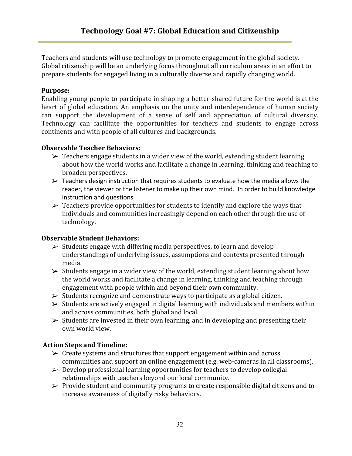Teachers and students will use technology to promote engagement in the global society. Global citizenship will be an underlying focus throughout all curriculum areas in an effort to prepare students for engaged living in a culturally diverse and rapidly changing world.

# **Purpose:**

Enabling young people to participate in shaping a better-shared future for the world is at the heart of global education. An emphasis on the unity and interdependence of human society can support the development of a sense of self and appreciation of cultural diversity. Technology can facilitate the opportunities for teachers and students to engage across continents and with people of all cultures and backgrounds.

### **Observable Teacher Behaviors:**

- $\triangleright$  Teachers engage students in a wider view of the world, extending student learning about how the world works and facilitate a change in learning, thinking and teaching to broaden perspectives.
- $\triangleright$  Teachers design instruction that requires students to evaluate how the media allows the reader, the viewer or the listener to make up their own mind. In order to build knowledge instruction and questions
- $\triangleright$  Teachers provide opportunities for students to identify and explore the ways that individuals and communities increasingly depend on each other through the use of technology.

### **Observable Student Behaviors:**

- $\triangleright$  Students engage with differing media perspectives, to learn and develop understandings of underlying issues, assumptions and contexts presented through media.
- $\triangleright$  Students engage in a wider view of the world, extending student learning about how the world works and facilitate a change in learning, thinking and teaching through engagement with people within and beyond their own community.
- $\triangleright$  Students recognize and demonstrate ways to participate as a global citizen.
- $\triangleright$  Students are actively engaged in digital learning with individuals and members within and across communities, both global and local.
- $\triangleright$  Students are invested in their own learning, and in developing and presenting their own world view.

# **Action Steps and Timeline:**

- ➢ Create systems and structures that support engagement within and across communities and support an online engagement (e.g. web-cameras in all classrooms).
- $\triangleright$  Develop professional learning opportunities for teachers to develop collegial relationships with teachers beyond our local community.
- ➢ Provide student and community programs to create responsible digital citizens and to increase awareness of digitally risky behaviors.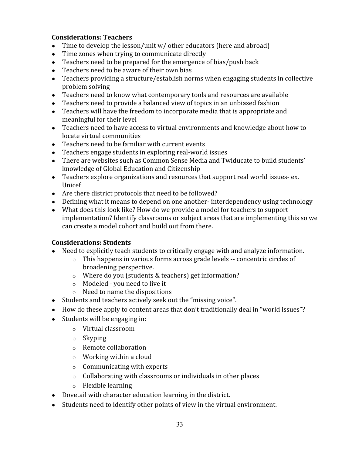## **Considerations: Teachers**

- Time to develop the lesson/unit  $w/$  other educators (here and abroad)
- Time zones when trying to communicate directly
- Teachers need to be prepared for the emergence of bias/push back
- Teachers need to be aware of their own bias
- Teachers providing a structure/establish norms when engaging students in collective problem solving
- Teachers need to know what contemporary tools and resources are available
- Teachers need to provide a balanced view of topics in an unbiased fashion
- Teachers will have the freedom to incorporate media that is appropriate and meaningful for their level
- Teachers need to have access to virtual environments and knowledge about how to locate virtual communities
- Teachers need to be familiar with current events
- Teachers engage students in exploring real-world issues
- There are websites such as Common Sense Media and Twiducate to build students' knowledge of Global Education and Citizenship
- Teachers explore organizations and resources that support real world issues- ex. Unicef
- Are there district protocols that need to be followed?
- Defining what it means to depend on one another-interdependency using technology
- What does this look like? How do we provide a model for teachers to support implementation? Identify classrooms or subject areas that are implementing this so we can create a model cohort and build out from there.

### **Considerations: Students**

- Need to explicitly teach students to critically engage with and analyze information.
	- o This happens in various forms across grade levels -- concentric circles of broadening perspective.
	- o Where do you (students & teachers) get information?
	- o Modeled you need to live it
	- o Need to name the dispositions
- Students and teachers actively seek out the "missing voice".
- How do these apply to content areas that don't traditionally deal in "world issues"?
- Students will be engaging in:
	- o Virtual classroom
	- o Skyping
	- o Remote collaboration
	- o Working within a cloud
	- o Communicating with experts
	- o Collaborating with classrooms or individuals in other places
	- o Flexible learning
- Dovetail with character education learning in the district.
- Students need to identify other points of view in the virtual environment.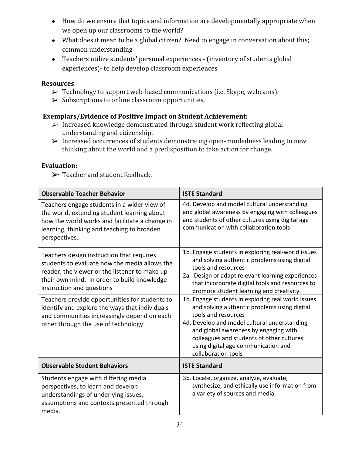- How do we ensure that topics and information are developmentally appropriate when we open up our classrooms to the world?
- What does it mean to be a global citizen? Need to engage in conversation about this; common understanding
- Teachers utilize students' personal experiences (inventory of students global experiences)- to help develop classroom experiences

### **Resources**:

- ➢ Technology to support web-based communications (i.e. Skype, webcams).
- $\triangleright$  Subscriptions to online classroom opportunities.

# **Exemplars/Evidence of Positive Impact on Student Achievement:**

- $\triangleright$  Increased knowledge demonstrated through student work reflecting global understanding and citizenship.
- $\triangleright$  Increased occurrences of students demonstrating open-mindedness leading to new thinking about the world and a predisposition to take action for change.

### **Evaluation:**

 $\triangleright$  Teacher and student feedback.

| <b>Observable Teacher Behavior</b>                                                                                                                                                                                      | <b>ISTE Standard</b>                                                                                                                                                                                                                                                                                                          |  |
|-------------------------------------------------------------------------------------------------------------------------------------------------------------------------------------------------------------------------|-------------------------------------------------------------------------------------------------------------------------------------------------------------------------------------------------------------------------------------------------------------------------------------------------------------------------------|--|
| Teachers engage students in a wider view of<br>the world, extending student learning about<br>how the world works and facilitate a change in<br>learning, thinking and teaching to broaden<br>perspectives.             | 4d. Develop and model cultural understanding<br>and global awareness by engaging with colleagues<br>and students of other cultures using digital age<br>communication with collaboration tools                                                                                                                                |  |
| Teachers design instruction that requires<br>students to evaluate how the media allows the<br>reader, the viewer or the listener to make up<br>their own mind. In order to build knowledge<br>instruction and questions | 1b. Engage students in exploring real-world issues<br>and solving authentic problems using digital<br>tools and resources<br>2a. Design or adapt relevant learning experiences<br>that incorporate digital tools and resources to<br>promote student learning and creativity.                                                 |  |
| Teachers provide opportunities for students to<br>identify and explore the ways that individuals<br>and communities increasingly depend on each<br>other through the use of technology                                  | 1b. Engage students in exploring real world issues<br>and solving authentic problems using digital<br>tools and resources<br>4d. Develop and model cultural understanding<br>and global awareness by engaging with<br>colleagues and students of other cultures<br>using digital age communication and<br>collaboration tools |  |
| <b>Observable Student Behaviors</b>                                                                                                                                                                                     | <b>ISTE Standard</b>                                                                                                                                                                                                                                                                                                          |  |
| Students engage with differing media<br>perspectives, to learn and develop<br>understandings of underlying issues,<br>assumptions and contexts presented through<br>media.                                              | 3b. Locate, organize, analyze, evaluate,<br>synthesize, and ethically use information from<br>a variety of sources and media.                                                                                                                                                                                                 |  |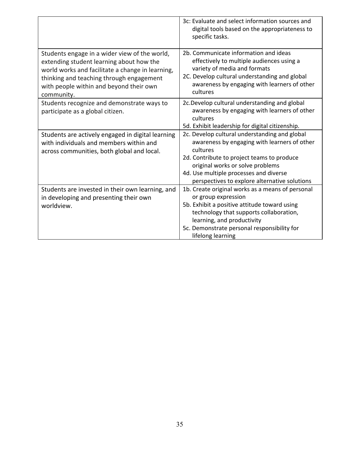|                                                                                                                                                                                                                                                    | 3c: Evaluate and select information sources and<br>digital tools based on the appropriateness to<br>specific tasks.                                                                                                                                                                    |
|----------------------------------------------------------------------------------------------------------------------------------------------------------------------------------------------------------------------------------------------------|----------------------------------------------------------------------------------------------------------------------------------------------------------------------------------------------------------------------------------------------------------------------------------------|
| Students engage in a wider view of the world,<br>extending student learning about how the<br>world works and facilitate a change in learning,<br>thinking and teaching through engagement<br>with people within and beyond their own<br>community. | 2b. Communicate information and ideas<br>effectively to multiple audiences using a<br>variety of media and formats<br>2C. Develop cultural understanding and global<br>awareness by engaging with learners of other<br>cultures                                                        |
| Students recognize and demonstrate ways to<br>participate as a global citizen.                                                                                                                                                                     | 2c.Develop cultural understanding and global<br>awareness by engaging with learners of other<br>cultures<br>5d. Exhibit leadership for digital citizenship.                                                                                                                            |
| Students are actively engaged in digital learning<br>with individuals and members within and<br>across communities, both global and local.                                                                                                         | 2c. Develop cultural understanding and global<br>awareness by engaging with learners of other<br>cultures<br>2d. Contribute to project teams to produce<br>original works or solve problems<br>4d. Use multiple processes and diverse<br>perspectives to explore alternative solutions |
| Students are invested in their own learning, and<br>in developing and presenting their own<br>worldview.                                                                                                                                           | 1b. Create original works as a means of personal<br>or group expression<br>5b. Exhibit a positive attitude toward using<br>technology that supports collaboration,<br>learning, and productivity<br>5c. Demonstrate personal responsibility for<br>lifelong learning                   |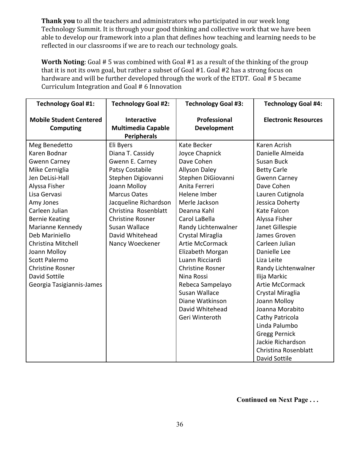**Thank you** to all the teachers and administrators who participated in our week long Technology Summit. It is through your good thinking and collective work that we have been able to develop our framework into a plan that defines how teaching and learning needs to be reflected in our classrooms if we are to reach our technology goals.

**Worth Noting**: Goal # 5 was combined with Goal #1 as a result of the thinking of the group that it is not its own goal, but rather a subset of Goal #1. Goal #2 has a strong focus on hardware and will be further developed through the work of the ETDT. Goal # 5 became Curriculum Integration and Goal # 6 Innovation

| <b>Technology Goal #1:</b>                         | <b>Technology Goal #2:</b>                                     | <b>Technology Goal #3:</b>         | <b>Technology Goal #4:</b>  |
|----------------------------------------------------|----------------------------------------------------------------|------------------------------------|-----------------------------|
| <b>Mobile Student Centered</b><br><b>Computing</b> | <b>Interactive</b><br><b>Multimedia Capable</b><br>Peripherals | Professional<br><b>Development</b> | <b>Electronic Resources</b> |
| Meg Benedetto                                      | Eli Byers                                                      | Kate Becker                        | Karen Acrish                |
| Karen Bodnar                                       | Diana T. Cassidy                                               | Joyce Chapnick                     | Danielle Almeida            |
| <b>Gwenn Carney</b>                                | Gwenn E. Carney                                                | Dave Cohen                         | Susan Buck                  |
| Mike Cerniglia                                     | Patsy Costabile                                                | <b>Allyson Daley</b>               | <b>Betty Carle</b>          |
| Jen DeLisi-Hall                                    | Stephen Digiovanni                                             | Stephen DiGiovanni                 | <b>Gwenn Carney</b>         |
| Alyssa Fisher                                      | Joann Molloy                                                   | Anita Ferreri                      | Dave Cohen                  |
| Lisa Gervasi                                       | <b>Marcus Oates</b>                                            | Helene Imber                       | Lauren Cutignola            |
| Amy Jones                                          | Jacqueline Richardson                                          | Merle Jackson                      | Jessica Doherty             |
| Carleen Julian                                     | Christina Rosenblatt                                           | Deanna Kahl                        | Kate Falcon                 |
| <b>Bernie Keating</b>                              | <b>Christine Rosner</b>                                        | Carol LaBella                      | Alyssa Fisher               |
| Marianne Kennedy                                   | Susan Wallace                                                  | Randy Lichtenwalner                | Janet Gillespie             |
| Deb Mariniello                                     | David Whitehead                                                | Crystal Miraglia                   | James Groven                |
| Christina Mitchell                                 | Nancy Woeckener                                                | <b>Artie McCormack</b>             | Carleen Julian              |
| Joann Molloy                                       |                                                                | Elizabeth Morgan                   | Danielle Lee                |
| <b>Scott Palermo</b>                               |                                                                | Luann Ricciardi                    | Liza Leite                  |
| <b>Christine Rosner</b>                            |                                                                | <b>Christine Rosner</b>            | Randy Lichtenwalner         |
| David Sottile                                      |                                                                | Nina Rossi                         | Ilija Markic                |
| Georgia Tasigiannis-James                          |                                                                | Rebeca Sampelayo                   | <b>Artie McCormack</b>      |
|                                                    |                                                                | Susan Wallace                      | Crystal Miraglia            |
|                                                    |                                                                | Diane Watkinson                    | Joann Molloy                |
|                                                    |                                                                | David Whitehead                    | Joanna Morabito             |
|                                                    |                                                                | Geri Winteroth                     | Cathy Patricola             |
|                                                    |                                                                |                                    | Linda Palumbo               |
|                                                    |                                                                |                                    | <b>Gregg Pernick</b>        |
|                                                    |                                                                |                                    | Jackie Richardson           |
|                                                    |                                                                |                                    | Christina Rosenblatt        |
|                                                    |                                                                |                                    | David Sottile               |

**Continued on Next Page . . .**